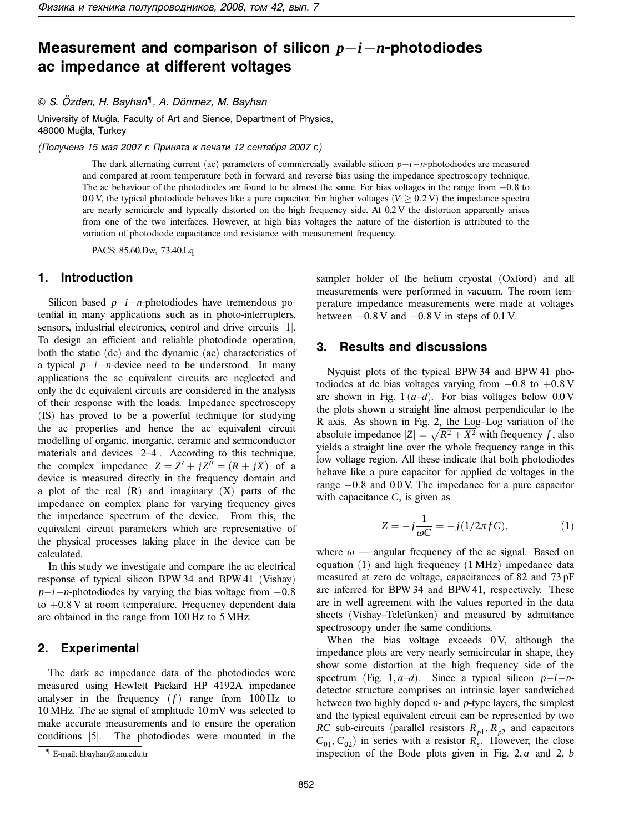# **Measurement and comparison of silicon** *p−i−n***-photodiodes ac impedance at different voltages**

© S. Özden, H. Bayhan<sup>¶</sup>, A. Dönmez, M. Bayhan

University of Muğla, Faculty of Art and Sience, Department of Physics, 48000 Muğla, Turkey

(Получена 15 мая 2007 г. Принята к печати 12 сентября 2007 г.)

The dark alternating current (ac) parameters of commercially available silicon *p*−*i*−*n*-photodiodes are measured and compared at room temperature both in forward and reverse bias using the impedance spectroscopy technique. The ac behaviour of the photodiodes are found to be almost the same. For bias voltages in the range from −0*.*8 to 0.0 V, the typical photodiode behaves like a pure capacitor. For higher voltages ( $V \ge 0.2$  V) the impedance spectra are nearly semicircle and typically distorted on the high frequency side. At 0.2 V the distortion apparently arises from one of the two interfaces. However, at high bias voltages the nature of the distortion is attributed to the variation of photodiode capacitance and resistance with measurement frequency.

PACS: 85.60.Dw, 73.40.Lq

### **1. Introduction**

Silicon based *p*−*i*−*n*-photodiodes have tremendous potential in many applications such as in photo-interrupters, sensors, industrial electronics, control and drive circuits [1]. To design an efficient and reliable photodiode operation, both the static (dc) and the dynamic (ac) characteristics of a typical *p*−*i*−*n*-device need to be understood. In many applications the ac equivalent circuits are neglected and only the dc equivalent circuits are considered in the analysis of their response with the loads. Impedance spectroscopy (IS) has proved to be a powerful technique for studying the ac properties and hence the ac equivalent circuit modelling of organic, inorganic, ceramic and semiconductor materials and devices [2–4]. According to this technique, the complex impedance  $Z = Z' + jZ'' = (R + jX)$  of a device is measured directly in the frequency domain and a plot of the real  $(R)$  and imaginary  $(X)$  parts of the impedance on complex plane for varying frequency gives the impedance spectrum of the device. From this, the equivalent circuit parameters which are representative of the physical processes taking place in the device can be calculated.

In this study we investigate and compare the ac electrical response of typical silicon BPW 34 and BPW 41 (Vishay) *p*−*i*−*n*-photodiodes by varying the bias voltage from −0.8 to +0*.*8 V at room temperature. Frequency dependent data are obtained in the range from 100 Hz to 5 MHz.

#### **2. Experimental**

The dark ac impedance data of the photodiodes were measured using Hewlett Packard HP 4192A impedance analyser in the frequency  $(f)$  range from 100 Hz to 10 MHz. The ac signal of amplitude 10 mV was selected to make accurate measurements and to ensure the operation conditions [5]. The photodiodes were mounted in the sampler holder of the helium cryostat (Oxford) and all measurements were performed in vacuum. The room temperature impedance measurements were made at voltages between  $-0.8$  V and  $+0.8$  V in steps of 0.1 V.

#### **3. Results and discussions**

Nyquist plots of the typical BPW 34 and BPW 41 photodiodes at dc bias voltages varying from −0*.*8 to +0*.*8 V are shown in Fig.  $1 (a-d)$ . For bias voltages below  $0.0 V$ the plots shown a straight line almost perpendicular to the R axis. As shown in Fig. 2, the Log–Log variation of the absolute impedance  $|Z| = \sqrt{R^2 + X^2}$  with frequency *f*, also yields a straight line over the whole frequency range in this low voltage region. All these indicate that both photodiodes behave like a pure capacitor for applied dc voltages in the range −0*.*8 and 0.0 V. The impedance for a pure capacitor with capacitance  $C$ , is given as

$$
Z = -j\frac{1}{\omega C} = -j(1/2\pi fC),\tag{1}
$$

where  $\omega$  — angular frequency of the ac signal. Based on equation (1) and high frequency (1 MHz) impedance data measured at zero dc voltage, capacitances of 82 and 73 pF are inferred for BPW 34 and BPW 41, respectively. These are in well agreement with the values reported in the data sheets (Vishay–Telefunken) and measured by admittance spectroscopy under the same conditions.

When the bias voltage exceeds 0 V, although the impedance plots are very nearly semicircular in shape, they show some distortion at the high frequency side of the spectrum (Fig. 1, *a*–*d*). Since a typical silicon *p*−*i*−*n*detector structure comprises an intrinsic layer sandwiched between two highly doped *n*- and *p*-type layers, the simplest and the typical equivalent circuit can be represented by two *RC* sub-circuits (parallel resistors  $R_{p1}$ ,  $R_{p2}$  and capacitors  $C_{01}$ ,  $C_{02}$ ) in series with a resistor  $R_s$ . However, the close inspection of the Bode plots given in Fig. 2, *a* and 2*, b*

<sup>¶</sup> E-mail: hbayhan@mu.edu.tr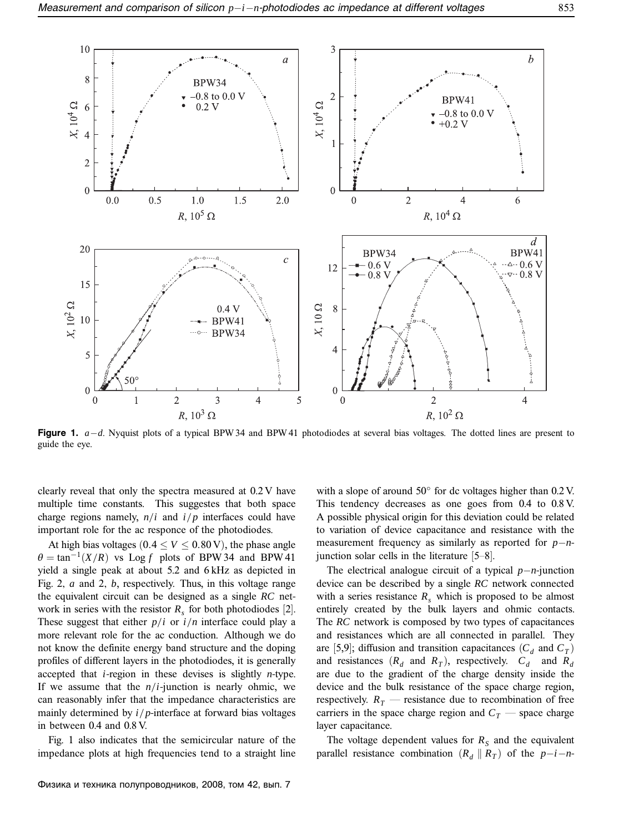

**Figure 1.** *a*−*d*. Nyquist plots of a typical BPW 34 and BPW 41 photodiodes at several bias voltages. The dotted lines are present to guide the eye.

clearly reveal that only the spectra measured at 0.2 V have multiple time constants. This suggestes that both space charge regions namely,  $n/i$  and  $i/p$  interfaces could have important role for the ac responce of the photodiodes.

At high bias voltages ( $0.4 \le V \le 0.80$  V), the phase angle  $\theta = \tan^{-1}(X/R)$  vs Log *f* plots of BPW 34 and BPW 41 yield a single peak at about 5.2 and 6 kHz as depicted in Fig. 2*, a* and 2*, b*, respectively. Thus, in this voltage range the equivalent circuit can be designed as a single *RC* network in series with the resistor  $R_s$  for both photodiodes [2]. These suggest that either  $p/i$  or  $i/n$  interface could play a more relevant role for the ac conduction. Although we do not know the definite energy band structure and the doping profiles of different layers in the photodiodes, it is generally accepted that *i*-region in these devises is slightly *n*-type. If we assume that the *n/i*-junction is nearly ohmic, we can reasonably infer that the impedance characteristics are mainly determined by *i/p*-interface at forward bias voltages in between 0.4 and 0.8 V.

Fig. 1 also indicates that the semicircular nature of the impedance plots at high frequencies tend to a straight line

Физика и техника полупроводников, 2008, том 42, вып. 7

with a slope of around 50◦ for dc voltages higher than 0.2 V. This tendency decreases as one goes from 0.4 to 0.8 V. A possible physical origin for this deviation could be related to variation of device capacitance and resistance with the measurement frequency as similarly as reported for *p*−*n*junction solar cells in the literature [5–8].

The electrical analogue circuit of a typical *p*−*n*-junction device can be described by a single *RC* network connected with a series resistance  $R<sub>s</sub>$  which is proposed to be almost entirely created by the bulk layers and ohmic contacts. The *RC* network is composed by two types of capacitances and resistances which are all connected in parallel. They are [5,9]; diffusion and transition capacitances  $(C_d$  and  $C_T$ ) and resistances  $(R_d$  and  $R_T$ ), respectively.  $C_d$  and  $R_d$ are due to the gradient of the charge density inside the device and the bulk resistance of the space charge region, respectively.  $R_T$  — resistance due to recombination of free carriers in the space charge region and  $C_T$  — space charge layer capacitance.

The voltage dependent values for  $R<sub>S</sub>$  and the equivalent parallel resistance combination  $(R_d \| R_T)$  of the *p*−*i*−*n*-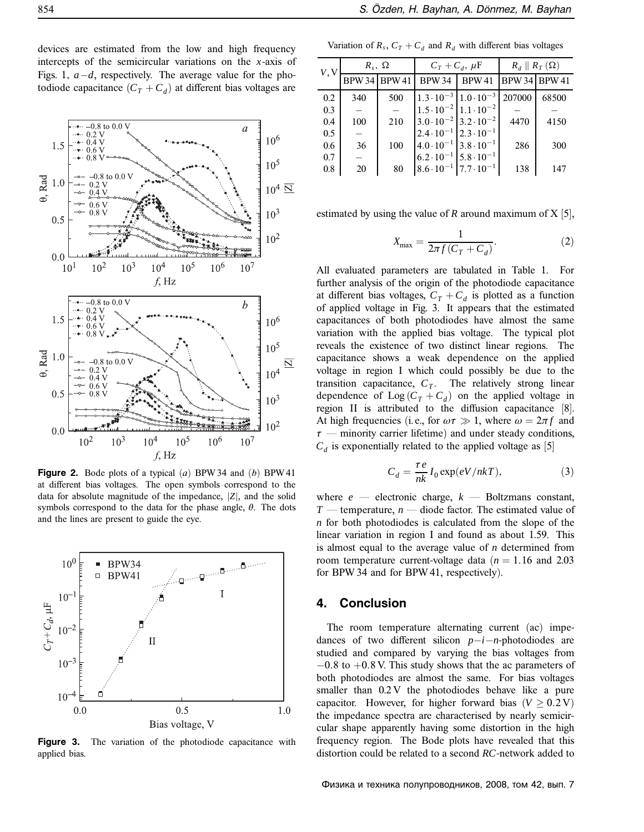devices are estimated from the low and high frequency intercepts of the semicircular variations on the *x*-axis of Figs. 1*, a*−*d*, respectively. The average value for the photodiode capacitance  $(C_T + C_d)$  at different bias voltages are



**Figure 2.** Bode plots of a typical (*a*) BPW 34 and (*b*) BPW 41 at different bias voltages. The open symbols correspond to the data for absolute magnitude of the impedance, |*Z*|, and the solid symbols correspond to the data for the phase angle, *θ*. The dots and the lines are present to guide the eye.



Figure 3. The variation of the photodiode capacitance with applied bias.

Variation of  $R_s$ ,  $C_T + C_d$  and  $R_d$  with different bias voltages

| V, V | $R_s$ , $\Omega$     |     | $C_T + C_d$ , $\mu F$                   |                                         | $R_d \parallel R_T(\Omega)$ |       |
|------|----------------------|-----|-----------------------------------------|-----------------------------------------|-----------------------------|-------|
|      | <b>BPW 34 BPW 41</b> |     | <b>BPW34</b>                            | <b>BPW 41</b>                           | <b>BPW 34 BPW 41</b>        |       |
| 0.2  | 340                  | 500 |                                         | $1.3 \cdot 10^{-3}$ 1.0 $\cdot 10^{-3}$ | 207000                      | 68500 |
| 0.3  |                      |     | $1.5 \cdot 10^{-2}$ 1.1 $\cdot 10^{-2}$ |                                         |                             |       |
| 0.4  | 100                  | 210 |                                         | $3.0 \cdot 10^{-2}$ 3.2 $\cdot 10^{-2}$ | 4470                        | 4150  |
| 0.5  |                      |     | $2.4 \cdot 10^{-1}$ $2.3 \cdot 10^{-1}$ |                                         |                             |       |
| 0.6  | 36                   | 100 | $4.0 \cdot 10^{-1}$ 3.8 $\cdot 10^{-1}$ |                                         | 286                         | 300   |
| 0.7  |                      |     | $6.2 \cdot 10^{-1}$ 5.8 $\cdot 10^{-1}$ |                                         |                             |       |
| 0.8  | 20                   | 80  |                                         | $8.6 \cdot 10^{-1}$ 7.7 $\cdot 10^{-1}$ | 138                         | 147   |

estimated by using the value of  $R$  around maximum of  $X$  [5],

$$
X_{\text{max}} = \frac{1}{2\pi f (C_T + C_d)}.\tag{2}
$$

All evaluated parameters are tabulated in Table 1. For further analysis of the origin of the photodiode capacitance at different bias voltages,  $C_T + C_d$  is plotted as a function of applied voltage in Fig. 3. It appears that the estimated capacitances of both photodiodes have almost the same variation with the applied bias voltage. The typical plot reveals the existence of two distinct linear regions. The capacitance shows a weak dependence on the applied voltage in region I which could possibly be due to the transition capacitance,  $C_T$ . The relatively strong linear dependence of  $\text{Log}(C_T + C_d)$  on the applied voltage in region II is attributed to the diffusion capacitance [8]. At high frequencies (i.e., for  $\omega \tau \gg 1$ , where  $\omega = 2\pi f$  and *τ* — minority carrier lifetime) and under steady conditions,  $C_d$  is exponentially related to the applied voltage as [5]

$$
C_d = \frac{\tau e}{nk} I_0 \exp(eV/nk), \qquad (3)
$$

where  $e$  — electronic charge,  $k$  — Boltzmans constant, *T* — temperature, *n* — diode factor. The estimated value of *n* for both photodiodes is calculated from the slope of the linear variation in region I and found as about 1.59. This is almost equal to the average value of *n* determined from room temperature current-voltage data  $(n = 1.16$  and 2.03 for BPW 34 and for BPW 41, respectively).

## **4. Conclusion**

The room temperature alternating current (ac) impedances of two different silicon *p*−*i*−*n*-photodiodes are studied and compared by varying the bias voltages from −0*.*8 to +0*.*8 V. This study shows that the ac parameters of both photodiodes are almost the same. For bias voltages smaller than 0.2 V the photodiodes behave like a pure capacitor. However, for higher forward bias ( $V \geq 0.2$  V) the impedance spectra are characterised by nearly semicircular shape apparently having some distortion in the high frequency region. The Bode plots have revealed that this distortion could be related to a second *RC*-network added to